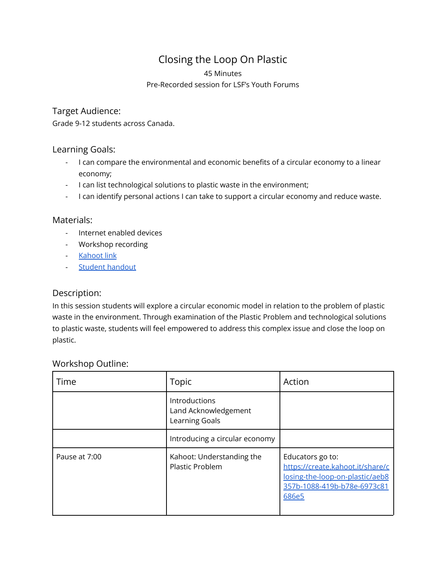# Closing the Loop On Plastic

#### 45 Minutes

#### Pre-Recorded session for LSF's Youth Forums

## Target Audience:

Grade 9-12 students across Canada.

#### Learning Goals:

- I can compare the environmental and economic benefits of a circular economy to a linear economy;
- I can list technological solutions to plastic waste in the environment;
- I can identify personal actions I can take to support a circular economy and reduce waste.

## Materials:

- Internet enabled devices
- Workshop recording
- [Kahoot](https://create.kahoot.it/share/closing-the-loop-on-plastic/aeb8357b-1088-419b-b78e-6973c81686e5) link
- Student [handout](https://docs.google.com/document/d/1R7dfsmPEw9nV7Yw6iwXhWhoJaflHFm9f_i8uCdqYBdk/edit?usp=sharing)

# Description:

In this session students will explore a circular economic model in relation to the problem of plastic waste in the environment. Through examination of the Plastic Problem and technological solutions to plastic waste, students will feel empowered to address this complex issue and close the loop on plastic.

# Workshop Outline:

| Time          | Topic                                                   | Action                                                                                                                          |
|---------------|---------------------------------------------------------|---------------------------------------------------------------------------------------------------------------------------------|
|               | Introductions<br>Land Acknowledgement<br>Learning Goals |                                                                                                                                 |
|               | Introducing a circular economy                          |                                                                                                                                 |
| Pause at 7:00 | Kahoot: Understanding the<br><b>Plastic Problem</b>     | Educators go to:<br>https://create.kahoot.it/share/c<br>losing-the-loop-on-plastic/aeb8<br>357b-1088-419b-b78e-6973c81<br>686e5 |